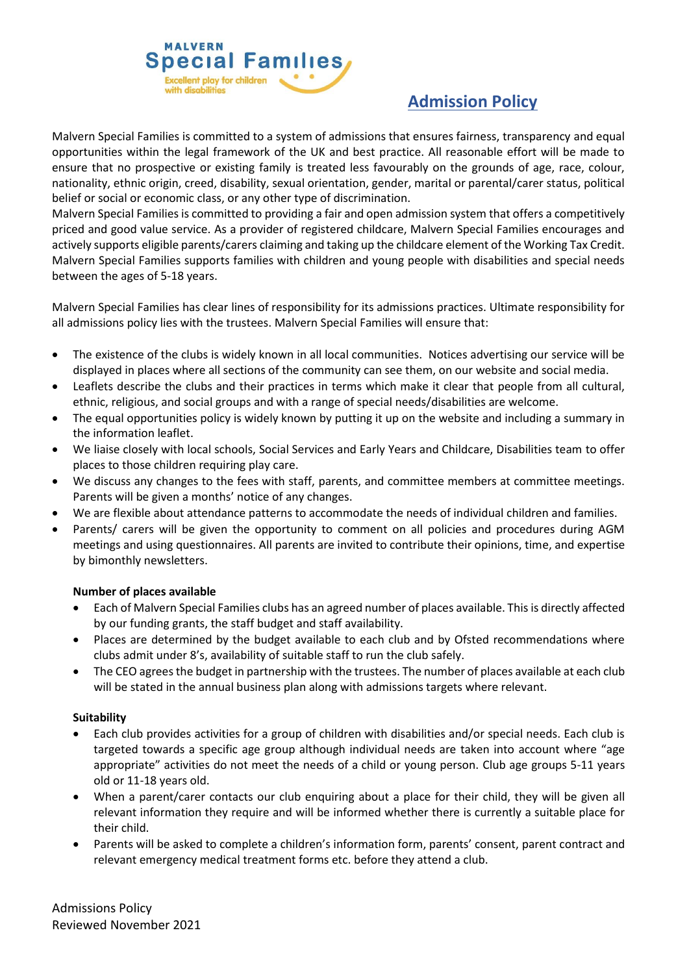

# **Admission Policy**

Malvern Special Families is committed to a system of admissions that ensures fairness, transparency and equal opportunities within the legal framework of the UK and best practice. All reasonable effort will be made to ensure that no prospective or existing family is treated less favourably on the grounds of age, race, colour, nationality, ethnic origin, creed, disability, sexual orientation, gender, marital or parental/carer status, political belief or social or economic class, or any other type of discrimination.

Malvern Special Families is committed to providing a fair and open admission system that offers a competitively priced and good value service. As a provider of registered childcare, Malvern Special Families encourages and actively supports eligible parents/carers claiming and taking up the childcare element of the Working Tax Credit. Malvern Special Families supports families with children and young people with disabilities and special needs between the ages of 5-18 years.

Malvern Special Families has clear lines of responsibility for its admissions practices. Ultimate responsibility for all admissions policy lies with the trustees. Malvern Special Families will ensure that:

- The existence of the clubs is widely known in all local communities. Notices advertising our service will be displayed in places where all sections of the community can see them, on our website and social media.
- Leaflets describe the clubs and their practices in terms which make it clear that people from all cultural, ethnic, religious, and social groups and with a range of special needs/disabilities are welcome.
- The equal opportunities policy is widely known by putting it up on the website and including a summary in the information leaflet.
- We liaise closely with local schools, Social Services and Early Years and Childcare, Disabilities team to offer places to those children requiring play care.
- We discuss any changes to the fees with staff, parents, and committee members at committee meetings. Parents will be given a months' notice of any changes.
- We are flexible about attendance patterns to accommodate the needs of individual children and families.
- Parents/ carers will be given the opportunity to comment on all policies and procedures during AGM meetings and using questionnaires. All parents are invited to contribute their opinions, time, and expertise by bimonthly newsletters.

# **Number of places available**

- Each of Malvern Special Families clubs has an agreed number of places available. This is directly affected by our funding grants, the staff budget and staff availability.
- Places are determined by the budget available to each club and by Ofsted recommendations where clubs admit under 8's, availability of suitable staff to run the club safely.
- The CEO agrees the budget in partnership with the trustees. The number of places available at each club will be stated in the annual business plan along with admissions targets where relevant.

# **Suitability**

- Each club provides activities for a group of children with disabilities and/or special needs. Each club is targeted towards a specific age group although individual needs are taken into account where "age appropriate" activities do not meet the needs of a child or young person. Club age groups 5-11 years old or 11-18 years old.
- When a parent/carer contacts our club enquiring about a place for their child, they will be given all relevant information they require and will be informed whether there is currently a suitable place for their child.
- Parents will be asked to complete a children's information form, parents' consent, parent contract and relevant emergency medical treatment forms etc. before they attend a club.